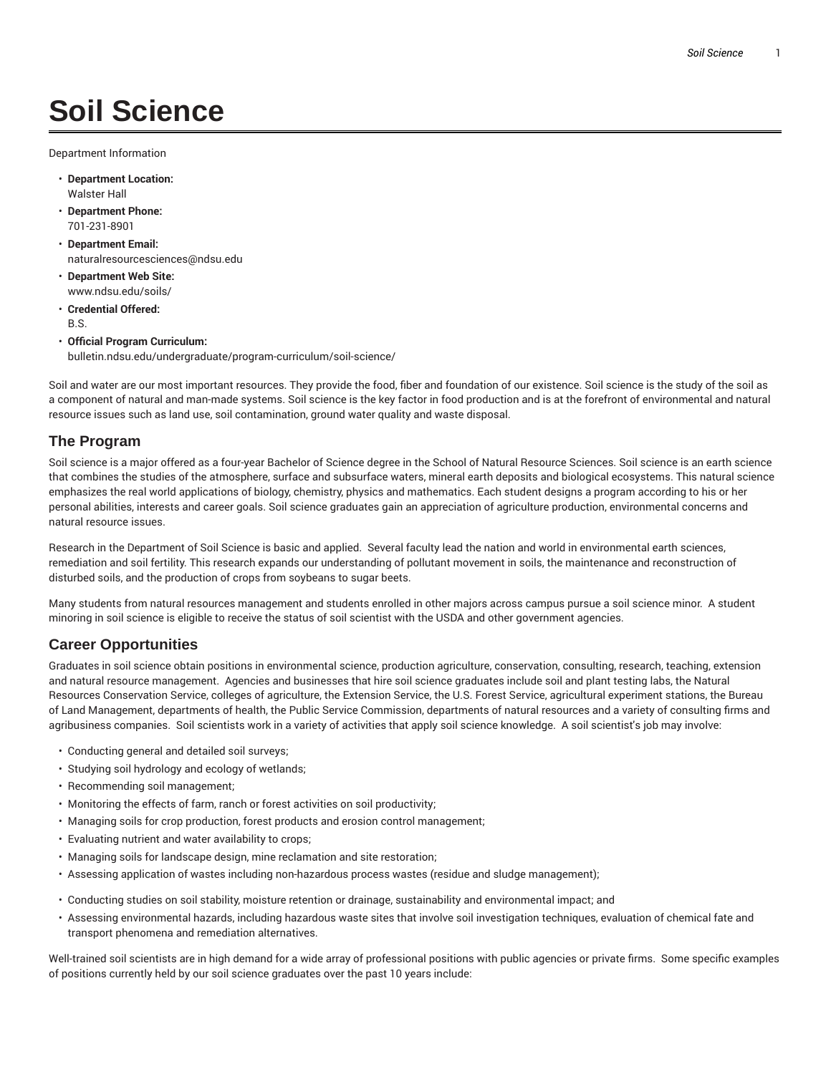# **Soil Science**

Department Information

- **Department Location:** Walster Hall
- **Department Phone:** 701-231-8901
- **Department Email:** naturalresourcesciences@ndsu.edu
- **Department Web Site:** www.ndsu.edu/soils/
- **Credential Offered:** B.S.
- **Official Program Curriculum:** bulletin.ndsu.edu/undergraduate/program-curriculum/soil-science/

Soil and water are our most important resources. They provide the food, fiber and foundation of our existence. Soil science is the study of the soil as a component of natural and man-made systems. Soil science is the key factor in food production and is at the forefront of environmental and natural resource issues such as land use, soil contamination, ground water quality and waste disposal.

#### **The Program**

Soil science is a major offered as a four-year Bachelor of Science degree in the School of Natural Resource Sciences. Soil science is an earth science that combines the studies of the atmosphere, surface and subsurface waters, mineral earth deposits and biological ecosystems. This natural science emphasizes the real world applications of biology, chemistry, physics and mathematics. Each student designs a program according to his or her personal abilities, interests and career goals. Soil science graduates gain an appreciation of agriculture production, environmental concerns and natural resource issues.

Research in the Department of Soil Science is basic and applied. Several faculty lead the nation and world in environmental earth sciences, remediation and soil fertility. This research expands our understanding of pollutant movement in soils, the maintenance and reconstruction of disturbed soils, and the production of crops from soybeans to sugar beets.

Many students from natural resources management and students enrolled in other majors across campus pursue a soil science minor. A student minoring in soil science is eligible to receive the status of soil scientist with the USDA and other government agencies.

## **Career Opportunities**

Graduates in soil science obtain positions in environmental science, production agriculture, conservation, consulting, research, teaching, extension and natural resource management. Agencies and businesses that hire soil science graduates include soil and plant testing labs, the Natural Resources Conservation Service, colleges of agriculture, the Extension Service, the U.S. Forest Service, agricultural experiment stations, the Bureau of Land Management, departments of health, the Public Service Commission, departments of natural resources and a variety of consulting firms and agribusiness companies. Soil scientists work in a variety of activities that apply soil science knowledge. A soil scientist's job may involve:

- Conducting general and detailed soil surveys;
- Studying soil hydrology and ecology of wetlands;
- Recommending soil management;
- Monitoring the effects of farm, ranch or forest activities on soil productivity;
- Managing soils for crop production, forest products and erosion control management;
- Evaluating nutrient and water availability to crops;
- Managing soils for landscape design, mine reclamation and site restoration;
- Assessing application of wastes including non-hazardous process wastes (residue and sludge management);
- Conducting studies on soil stability, moisture retention or drainage, sustainability and environmental impact; and
- Assessing environmental hazards, including hazardous waste sites that involve soil investigation techniques, evaluation of chemical fate and transport phenomena and remediation alternatives.

Well-trained soil scientists are in high demand for a wide array of professional positions with public agencies or private firms. Some specific examples of positions currently held by our soil science graduates over the past 10 years include: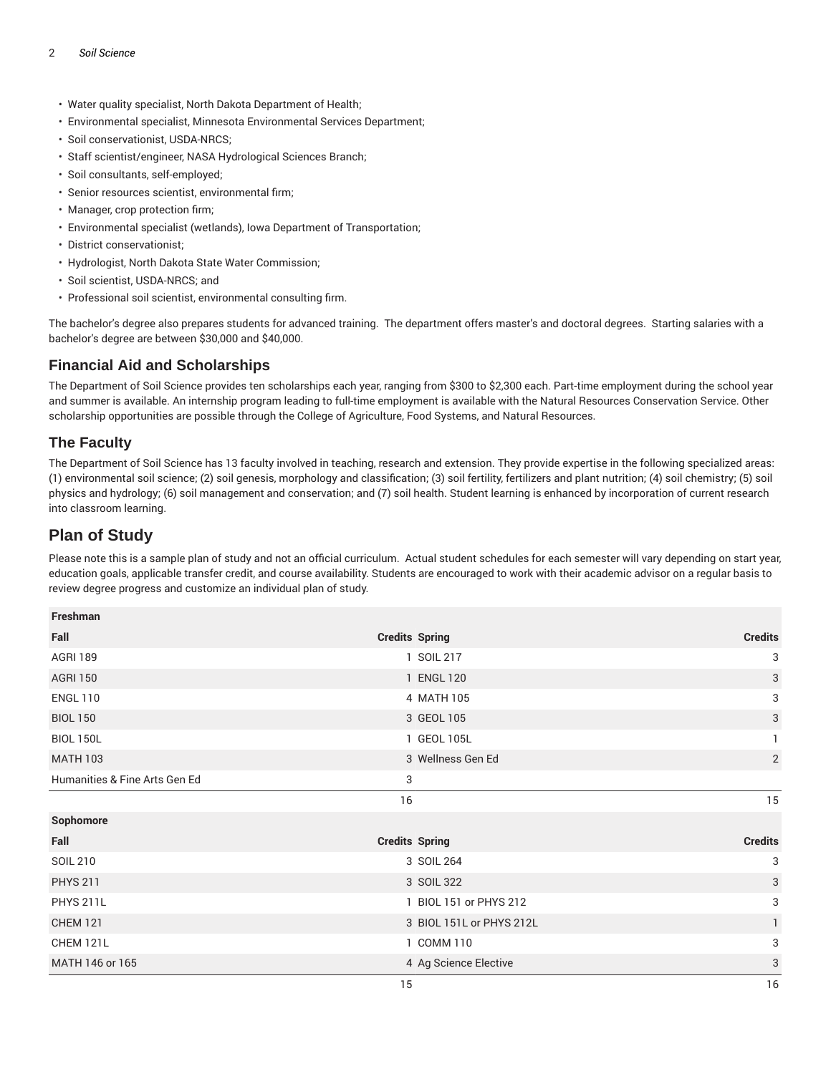- Water quality specialist, North Dakota Department of Health;
- Environmental specialist, Minnesota Environmental Services Department;
- Soil conservationist, USDA-NRCS;
- Staff scientist/engineer, NASA Hydrological Sciences Branch;
- Soil consultants, self-employed;
- Senior resources scientist, environmental firm;
- Manager, crop protection firm;
- Environmental specialist (wetlands), Iowa Department of Transportation;
- District conservationist;
- Hydrologist, North Dakota State Water Commission;
- Soil scientist, USDA-NRCS; and
- Professional soil scientist, environmental consulting firm.

The bachelor's degree also prepares students for advanced training. The department offers master's and doctoral degrees. Starting salaries with a bachelor's degree are between \$30,000 and \$40,000.

## **Financial Aid and Scholarships**

The Department of Soil Science provides ten scholarships each year, ranging from \$300 to \$2,300 each. Part-time employment during the school year and summer is available. An internship program leading to full-time employment is available with the Natural Resources Conservation Service. Other scholarship opportunities are possible through the College of Agriculture, Food Systems, and Natural Resources.

#### **The Faculty**

The Department of Soil Science has 13 faculty involved in teaching, research and extension. They provide expertise in the following specialized areas: (1) environmental soil science; (2) soil genesis, morphology and classification; (3) soil fertility, fertilizers and plant nutrition; (4) soil chemistry; (5) soil physics and hydrology; (6) soil management and conservation; and (7) soil health. Student learning is enhanced by incorporation of current research into classroom learning.

## **Plan of Study**

Please note this is a sample plan of study and not an official curriculum. Actual student schedules for each semester will vary depending on start year, education goals, applicable transfer credit, and course availability. Students are encouraged to work with their academic advisor on a regular basis to review degree progress and customize an individual plan of study.

| Freshman                      |                       |                          |                |
|-------------------------------|-----------------------|--------------------------|----------------|
| Fall                          | <b>Credits Spring</b> |                          | <b>Credits</b> |
| <b>AGRI 189</b>               |                       | 1 SOIL 217               | 3              |
| <b>AGRI 150</b>               |                       | 1 ENGL 120               | 3              |
| <b>ENGL 110</b>               |                       | 4 MATH 105               | 3              |
| <b>BIOL 150</b>               |                       | 3 GEOL 105               | 3              |
| <b>BIOL 150L</b>              |                       | 1 GEOL 105L              | $\mathbf{1}$   |
| <b>MATH 103</b>               |                       | 3 Wellness Gen Ed        | $\overline{2}$ |
| Humanities & Fine Arts Gen Ed | 3                     |                          |                |
|                               | 16                    |                          | 15             |
| Sophomore                     |                       |                          |                |
| Fall                          | <b>Credits Spring</b> |                          | <b>Credits</b> |
| <b>SOIL 210</b>               |                       | 3 SOIL 264               | 3              |
| <b>PHYS 211</b>               |                       | 3 SOIL 322               | 3              |
| <b>PHYS 211L</b>              |                       | 1 BIOL 151 or PHYS 212   | 3              |
| <b>CHEM 121</b>               |                       | 3 BIOL 151L or PHYS 212L | 1.             |
| CHEM 121L                     |                       | 1 COMM 110               | 3              |
| MATH 146 or 165               |                       | 4 Ag Science Elective    | 3              |
|                               | 15                    |                          | 16             |